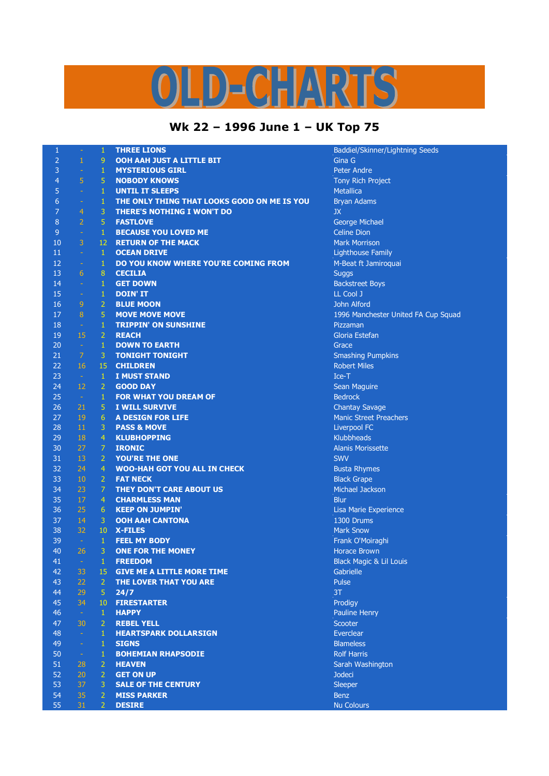## S  $\left(\frac{1}{2}\right)^{n}$  $\mathbf{D}$

## **Wk 22 – 1996 June 1 – UK Top 75**

| $\mathbf{1}$   | ÷,                   | $\mathbf{1}$     | <b>THREE LIONS</b>                          | Baddiel/Skinner/Ligl       |
|----------------|----------------------|------------------|---------------------------------------------|----------------------------|
| $\overline{2}$ | $\mathbf{1}$         | 9                | OOH AAH JUST A LITTLE BIT                   | Gina G                     |
| 3              | $\blacksquare$       | $\mathbf{1}$     | <b>MYSTERIOUS GIRL</b>                      | <b>Peter Andre</b>         |
| $\overline{4}$ | $\overline{5}$       | 5                | <b>NOBODY KNOWS</b>                         | Tony Rich Project          |
| 5              | $\omega$             | $\mathbf 1$      | <b>UNTIL IT SLEEPS</b>                      | <b>Metallica</b>           |
| 6              | ÷                    | $\mathbf 1$      | THE ONLY THING THAT LOOKS GOOD ON ME IS YOU | <b>Bryan Adams</b>         |
| 7              | 4                    | 3                | <b>THERE'S NOTHING I WON'T DO</b>           | <b>JX</b>                  |
| 8              | $\overline{2}$       | 5                | <b>FASTLOVE</b>                             | George Michael             |
| 9              | ÷                    | $\mathbf{1}$     | <b>BECAUSE YOU LOVED ME</b>                 | <b>Celine Dion</b>         |
| 10             | 3                    | 12               | <b>RETURN OF THE MACK</b>                   | <b>Mark Morrison</b>       |
| 11             | $\blacksquare$       | $\mathbf{1}$     | <b>OCEAN DRIVE</b>                          | <b>Lighthouse Family</b>   |
| 12             | $\Box$               | $\mathbf 1$      | DO YOU KNOW WHERE YOU'RE COMING FROM        | M-Beat ft Jamiroqua        |
| 13             | 6                    | $\boldsymbol{8}$ | <b>CECILIA</b>                              | <b>Suggs</b>               |
| 14             | $\sim$               | $\mathbf{1}$     | <b>GET DOWN</b>                             | <b>Backstreet Boys</b>     |
| 15             | $\equiv$             | $\mathbf 1$      | <b>DOIN' IT</b>                             | LL Cool J                  |
| 16             | 9                    | $\overline{2}$   | <b>BLUE MOON</b>                            | John Alford                |
|                | 8                    |                  |                                             |                            |
| 17             |                      | 5                | <b>MOVE MOVE MOVE</b>                       | 1996 Manchester U          |
| 18             | $\omega$             | $\mathbf{1}$     | <b>TRIPPIN' ON SUNSHINE</b>                 | Pizzaman                   |
| 19             | 15                   | $\overline{2}$   | <b>REACH</b>                                | Gloria Estefan             |
| 20             | $\omega$             | $\,1\,$          | <b>DOWN TO EARTH</b>                        | Grace                      |
| 21             | $\overline{7}$       | 3                | <b>TONIGHT TONIGHT</b>                      | <b>Smashing Pumpkins</b>   |
| 22             | 16                   | 15               | <b>CHILDREN</b>                             | <b>Robert Miles</b>        |
| 23             | $\pm$                | $\mathbf{1}$     | <b>I MUST STAND</b>                         | Ice-T                      |
| 24             | 12                   | $\overline{2}$   | <b>GOOD DAY</b>                             | Sean Maguire               |
| 25             | $\sim$               | $\mathbf{1}$     | FOR WHAT YOU DREAM OF                       | <b>Bedrock</b>             |
| 26             | 21                   | 5                | <b>I WILL SURVIVE</b>                       | <b>Chantay Savage</b>      |
| 27             | 19                   | $\overline{6}$   | <b>A DESIGN FOR LIFE</b>                    | <b>Manic Street Preach</b> |
| 28             | 11                   | 3                | <b>PASS &amp; MOVE</b>                      | Liverpool FC               |
| 29             | 18                   | $\overline{4}$   | <b>KLUBHOPPING</b>                          | <b>Klubbheads</b>          |
| 30             | 27                   | $\overline{7}$   | <b>IRONIC</b>                               | <b>Alanis Morissette</b>   |
| 31             | 13                   | $\overline{2}$   | <b>YOU'RE THE ONE</b>                       | <b>SWV</b>                 |
| 32             | 24                   | $\overline{4}$   | <b>WOO-HAH GOT YOU ALL IN CHECK</b>         | <b>Busta Rhymes</b>        |
| 33             | 10                   | $\overline{2}$   | <b>FAT NECK</b>                             | <b>Black Grape</b>         |
| 34             | 23                   | $\overline{7}$   | THEY DON'T CARE ABOUT US                    | Michael Jackson            |
| 35             | 17                   | $\overline{4}$   | <b>CHARMLESS MAN</b>                        | <b>Blur</b>                |
| 36             | 25                   | 6                | <b>KEEP ON JUMPIN'</b>                      | Lisa Marie Experien        |
| 37             | 14                   | 3                | <b>OOH AAH CANTONA</b>                      | 1300 Drums                 |
| 38             | 32                   | 10               | <b>X-FILES</b>                              | <b>Mark Snow</b>           |
| 39             | $\sim$               | $\mathbf{1}$     | <b>FEEL MY BODY</b>                         | Frank O'Moiraghi           |
| 40             | 26                   | 3                | <b>ONE FOR THE MONEY</b>                    | <b>Horace Brown</b>        |
| 41             | $\frac{1}{\sqrt{2}}$ | $\mathbf{1}$     | <b>FREEDOM</b>                              | Black Magic & Lil Lo       |
| 42             | 33                   | 15               | <b>GIVE ME A LITTLE MORE TIME</b>           | Gabrielle                  |
| 43             | 22                   | $\overline{2}$   | THE LOVER THAT YOU ARE                      | Pulse                      |
| 44             | 29                   | 5                | 24/7                                        | 3T                         |
| 45             | 34                   | 10               | <b>FIRESTARTER</b>                          | Prodigy                    |
| 46             | $\omega_{\rm c}$     | $\mathbf{1}$     | <b>HAPPY</b>                                | <b>Pauline Henry</b>       |
| 47             | 30                   | $\overline{2}$   | <b>REBEL YELL</b>                           | Scooter                    |
| 48             | $\omega_{\rm c}$     | $\mathbf{1}$     | <b>HEARTSPARK DOLLARSIGN</b>                | Everclear                  |
| 49             | $\omega$             | $\mathbf 1$      | <b>SIGNS</b>                                | <b>Blameless</b>           |
| 50             | $\omega_{\rm c}$     | $\mathbf{1}$     | <b>BOHEMIAN RHAPSODIE</b>                   | <b>Rolf Harris</b>         |
| 51             | 28                   | $\overline{2}$   | <b>HEAVEN</b>                               | Sarah Washington           |
| 52             | 20                   | $\overline{2}$   | <b>GET ON UP</b>                            | <b>Jodeci</b>              |
| 53             | 37                   | 3                |                                             |                            |
|                |                      |                  | <b>SALE OF THE CENTURY</b>                  | Sleeper                    |
| 54             | 35                   | $\overline{2}$   | <b>MISS PARKER</b>                          | <b>Benz</b>                |
| 55             | 31                   | $\overline{2}$   | <b>DESIRE</b>                               | <b>Nu Colours</b>          |

kinner/Lightning Seeds 1<sub>2</sub> - 12 December 12 Dec **n** 8 ander Moved FA Cup Squad eet Preachers **Experience** aic & Lil Louis